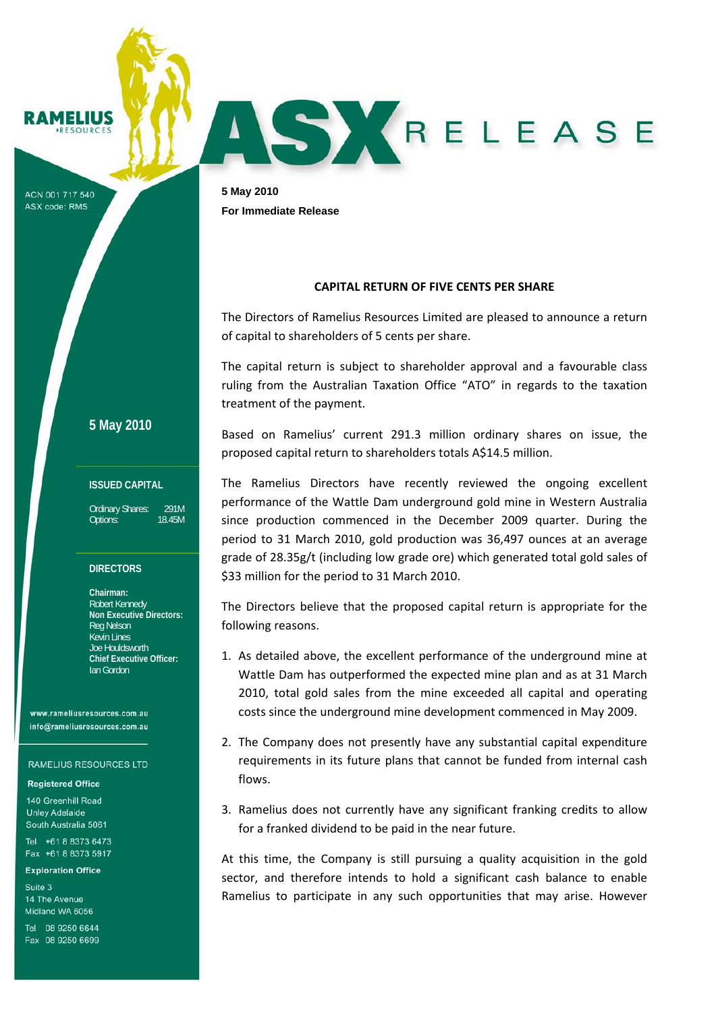ELIUS

ACN 001 717 540 **ASX code: RMS** 

**5 May 2010**

## **ISSUED CAPITAL**

Ordinary Shares: 291M Options: 18.45M

### **DIRECTORS**

**Chairman:**  Robert Kennedy **Non Executive Directors:**  Reg Nelson Kevin Lines Joe Houldsworth **Chief Executive Officer:**  Ian Gordon

www.rameliusresources.com.au info@rameliusresources.com.au

#### **RAMELIUS RESOURCES LTD**

### **Registered Office**

140 Greenhill Road **Unley Adelaide** South Australia 5061

Tel +61 8 8373 6473 Fax +61 8 8373 5917

#### **Exploration Office**

Suite 3 14 The Avenue Midland WA 6056

Tel 08 9250 6644 Fax 08 9250 6699

**5 May 2010 For Immediate Release** 

# **CAPITAL RETURN OF FIVE CENTS PER SHARE**

ASYRELEASE

The Directors of Ramelius Resources Limited are pleased to announce a return of capital to shareholders of 5 cents per share.

The capital return is subject to shareholder approval and a favourable class ruling from the Australian Taxation Office "ATO" in regards to the taxation treatment of the payment.

Based on Ramelius' current 291.3 million ordinary shares on issue, the proposed capital return to shareholders totals A\$14.5 million.

The Ramelius Directors have recently reviewed the ongoing excellent performance of the Wattle Dam underground gold mine in Western Australia since production commenced in the December 2009 quarter. During the period to 31 March 2010, gold production was 36,497 ounces at an average grade of 28.35g/t (including low grade ore) which generated total gold sales of \$33 million for the period to 31 March 2010.

The Directors believe that the proposed capital return is appropriate for the following reasons.

- 1. As detailed above, the excellent performance of the underground mine at Wattle Dam has outperformed the expected mine plan and as at 31 March 2010, total gold sales from the mine exceeded all capital and operating costs since the underground mine development commenced in May 2009.
- 2. The Company does not presently have any substantial capital expenditure requirements in its future plans that cannot be funded from internal cash flows.
- 3. Ramelius does not currently have any significant franking credits to allow for a franked dividend to be paid in the near future.

At this time, the Company is still pursuing a quality acquisition in the gold sector, and therefore intends to hold a significant cash balance to enable Ramelius to participate in any such opportunities that may arise. However